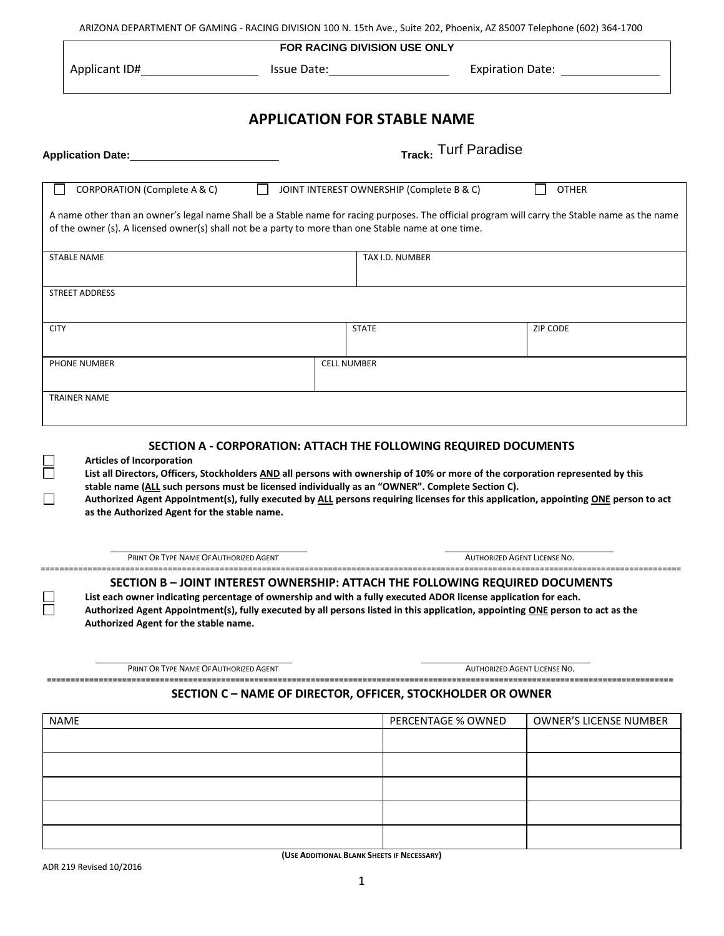|                                                                                                                                                                                                                                                         | FOR RACING DIVISION USE ONLY                                                                                                                                                                                                                                                                                                       |                              |                                                                                                                                      |
|---------------------------------------------------------------------------------------------------------------------------------------------------------------------------------------------------------------------------------------------------------|------------------------------------------------------------------------------------------------------------------------------------------------------------------------------------------------------------------------------------------------------------------------------------------------------------------------------------|------------------------------|--------------------------------------------------------------------------------------------------------------------------------------|
| Applicant ID# 1990 1990 1990 1550 1550 1550 1561 1572 1580 1580 1591 1592 1593 1594 1595 1596 1597 1598 1599 1                                                                                                                                          |                                                                                                                                                                                                                                                                                                                                    |                              | Expiration Date: National Property of Australian                                                                                     |
|                                                                                                                                                                                                                                                         | <b>APPLICATION FOR STABLE NAME</b>                                                                                                                                                                                                                                                                                                 |                              |                                                                                                                                      |
| Application Date: 1999                                                                                                                                                                                                                                  |                                                                                                                                                                                                                                                                                                                                    | Track: Turf Paradise         |                                                                                                                                      |
| CORPORATION (Complete A & C)                                                                                                                                                                                                                            | JOINT INTEREST OWNERSHIP (Complete B & C)                                                                                                                                                                                                                                                                                          |                              | <b>OTHER</b>                                                                                                                         |
| A name other than an owner's legal name Shall be a Stable name for racing purposes. The official program will carry the Stable name as the name<br>of the owner (s). A licensed owner(s) shall not be a party to more than one Stable name at one time. |                                                                                                                                                                                                                                                                                                                                    |                              |                                                                                                                                      |
| STABLE NAME                                                                                                                                                                                                                                             | TAX I.D. NUMBER                                                                                                                                                                                                                                                                                                                    |                              |                                                                                                                                      |
| <b>STREET ADDRESS</b>                                                                                                                                                                                                                                   |                                                                                                                                                                                                                                                                                                                                    |                              |                                                                                                                                      |
|                                                                                                                                                                                                                                                         |                                                                                                                                                                                                                                                                                                                                    |                              |                                                                                                                                      |
| <b>CITY</b>                                                                                                                                                                                                                                             | <b>STATE</b>                                                                                                                                                                                                                                                                                                                       |                              | <b>ZIP CODE</b>                                                                                                                      |
| <b>PHONE NUMBER</b>                                                                                                                                                                                                                                     | <b>CELL NUMBER</b>                                                                                                                                                                                                                                                                                                                 |                              |                                                                                                                                      |
| <b>TRAINER NAME</b>                                                                                                                                                                                                                                     |                                                                                                                                                                                                                                                                                                                                    |                              |                                                                                                                                      |
|                                                                                                                                                                                                                                                         |                                                                                                                                                                                                                                                                                                                                    |                              |                                                                                                                                      |
|                                                                                                                                                                                                                                                         |                                                                                                                                                                                                                                                                                                                                    |                              |                                                                                                                                      |
| SECTION A - CORPORATION: ATTACH THE FOLLOWING REQUIRED DOCUMENTS<br><b>Articles of Incorporation</b><br>as the Authorized Agent for the stable name.                                                                                                    | stable name (ALL such persons must be licensed individually as an "OWNER". Complete Section C).                                                                                                                                                                                                                                    |                              | List all Directors, Officers, Stockholders AND all persons with ownership of 10% or more of the corporation represented by this      |
| PRINT OR TYPE NAME OF AUTHORIZED AGENT                                                                                                                                                                                                                  |                                                                                                                                                                                                                                                                                                                                    | AUTHORIZED AGENT LICENSE NO. | Authorized Agent Appointment(s), fully executed by ALL persons requiring licenses for this application, appointing ONE person to act |
| Authorized Agent for the stable name.                                                                                                                                                                                                                   | SECTION B – JOINT INTEREST OWNERSHIP: ATTACH THE FOLLOWING REQUIRED DOCUMENTS<br>List each owner indicating percentage of ownership and with a fully executed ADOR license application for each.<br>Authorized Agent Appointment(s), fully executed by all persons listed in this application, appointing ONE person to act as the |                              |                                                                                                                                      |
| PRINT OR TYPE NAME OF AUTHORIZED AGENT                                                                                                                                                                                                                  |                                                                                                                                                                                                                                                                                                                                    | AUTHORIZED AGENT LICENSE NO. |                                                                                                                                      |
|                                                                                                                                                                                                                                                         | SECTION C - NAME OF DIRECTOR, OFFICER, STOCKHOLDER OR OWNER                                                                                                                                                                                                                                                                        |                              |                                                                                                                                      |
|                                                                                                                                                                                                                                                         |                                                                                                                                                                                                                                                                                                                                    | PERCENTAGE % OWNED           | <b>OWNER'S LICENSE NUMBER</b>                                                                                                        |
|                                                                                                                                                                                                                                                         |                                                                                                                                                                                                                                                                                                                                    |                              |                                                                                                                                      |
| <b>NAME</b>                                                                                                                                                                                                                                             |                                                                                                                                                                                                                                                                                                                                    |                              |                                                                                                                                      |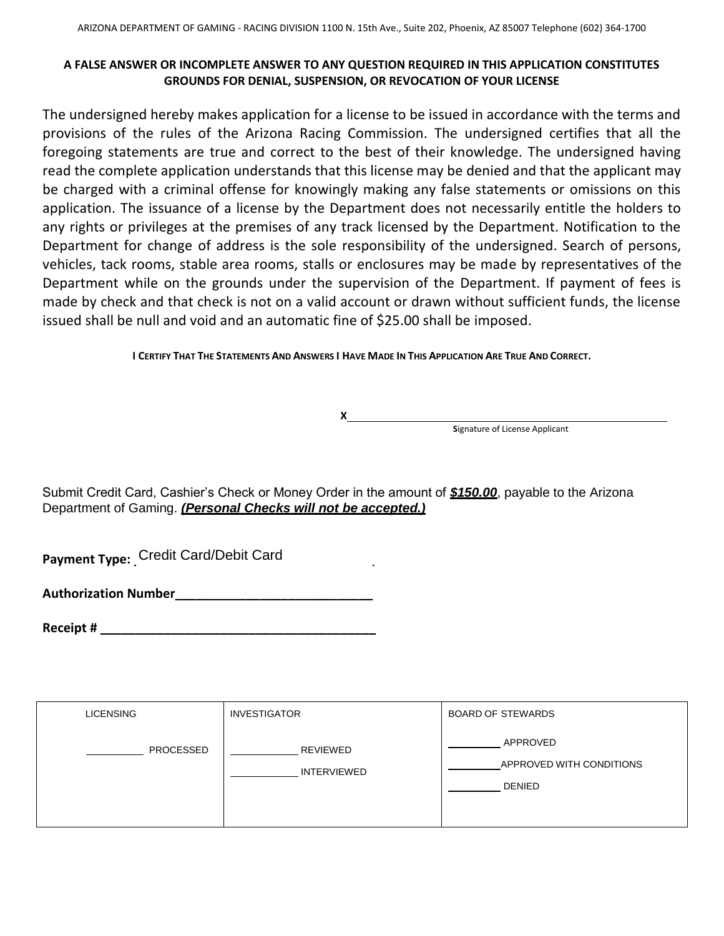## **A FALSE ANSWER OR INCOMPLETE ANSWER TO ANY QUESTION REQUIRED IN THIS APPLICATION CONSTITUTES GROUNDS FOR DENIAL, SUSPENSION, OR REVOCATION OF YOUR LICENSE**

The undersigned hereby makes application for a license to be issued in accordance with the terms and provisions of the rules of the Arizona Racing Commission. The undersigned certifies that all the foregoing statements are true and correct to the best of their knowledge. The undersigned having read the complete application understands that this license may be denied and that the applicant may be charged with a criminal offense for knowingly making any false statements or omissions on this application. The issuance of a license by the Department does not necessarily entitle the holders to any rights or privileges at the premises of any track licensed by the Department. Notification to the Department for change of address is the sole responsibility of the undersigned. Search of persons, vehicles, tack rooms, stable area rooms, stalls or enclosures may be made by representatives of the Department while on the grounds under the supervision of the Department. If payment of fees is made by check and that check is not on a valid account or drawn without sufficient funds, the license issued shall be null and void and an automatic fine of \$25.00 shall be imposed.

I CERTIFY THAT THE STATEMENTS AND ANSWERS I HAVE MADE IN THIS APPLICATION ARE TRUE AND CORRECT.

**X**

**Signature of License Applicant** 

Submit Credit Card, Cashier's Check or Money Order in the amount of *\$150.00*, payable to the Arizona Department of Gaming. *(Personal Checks will not be accepted.)*

**Payment Type: Credit Card/Debit Card** 

**Authorization Number\_\_\_\_\_\_\_\_\_\_\_\_\_\_\_\_\_\_\_\_\_\_\_\_\_\_\_\_**

**Receipt #**  $\blacksquare$ 

| <b>LICENSING</b> | <b>INVESTIGATOR</b>            | <b>BOARD OF STEWARDS</b>                              |
|------------------|--------------------------------|-------------------------------------------------------|
| PROCESSED        | REVIEWED<br><b>INTERVIEWED</b> | APPROVED<br>APPROVED WITH CONDITIONS<br><b>DENIED</b> |